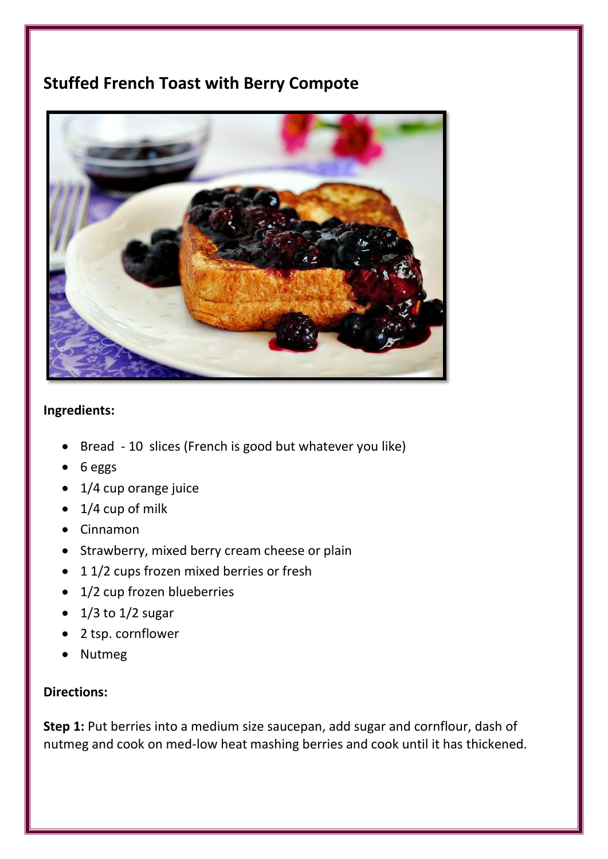## **Stuffed French Toast with Berry Compote**



## **Ingredients:**

- Bread 10 slices (French is good but whatever you like)
- 6 eggs
- 1/4 cup orange juice
- $\bullet$  1/4 cup of milk
- Cinnamon
- Strawberry, mixed berry cream cheese or plain
- 11/2 cups frozen mixed berries or fresh
- 1/2 cup frozen blueberries
- $\bullet$  1/3 to 1/2 sugar
- 2 tsp. cornflower
- Nutmeg

## **Directions:**

**Step 1:** Put berries into a medium size saucepan, add sugar and cornflour, dash of nutmeg and cook on med-low heat mashing berries and cook until it has thickened.